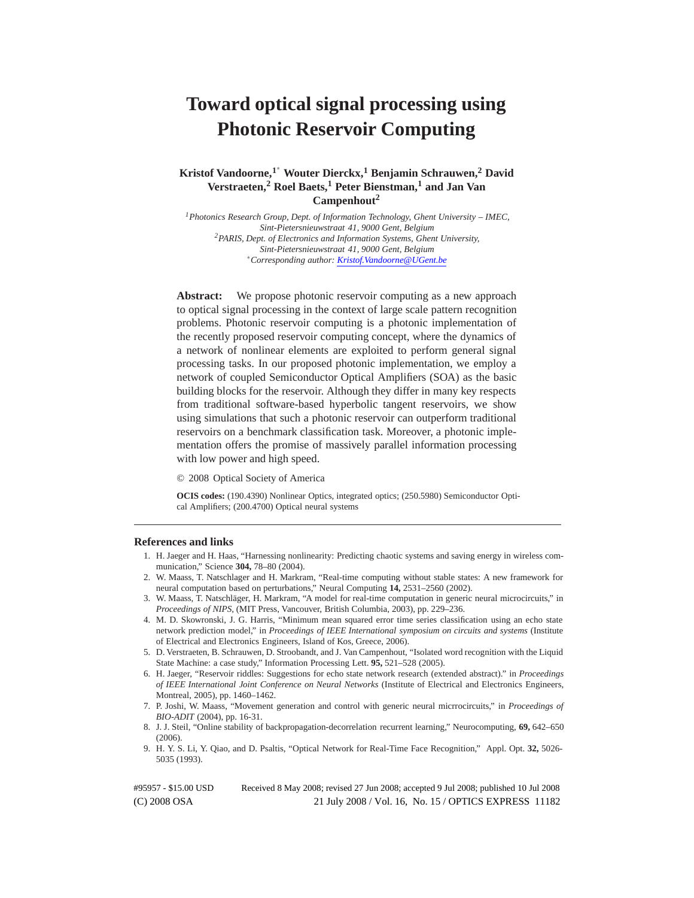# **Toward optical signal processing using Photonic Reservoir Computing**

## **Kristof Vandoorne,1**<sup>∗</sup> **Wouter Dierckx,<sup>1</sup> Benjamin Schrauwen,<sup>2</sup> David Verstraeten,<sup>2</sup> Roel Baets,<sup>1</sup> Peter Bienstman,<sup>1</sup> and Jan Van Campenhout<sup>2</sup>**

*1Photonics Research Group, Dept. of Information Technology, Ghent University – IMEC, Sint-Pietersnieuwstraat 41, 9000 Gent, Belgium 2PARIS, Dept. of Electronics and Information Systems, Ghent University, Sint-Pietersnieuwstraat 41, 9000 Gent, Belgium* ∗*Corresponding author: Kristof.Vandoorne@UGent.be*

**Abstract:** We propose photonic reservoir computing as a new approach to optical signal processing in the context of large scale pattern recognition problems. Photonic reservoir computing is a photonic implementation of the recently proposed reservoir computing concept, where the dynamics of a network of nonlinear elements are exploited to perform general signal processing tasks. In our proposed photonic implementation, we employ a network of coupled Semiconductor Optical Amplifiers (SOA) as the basic building blocks for the reservoir. Although they differ in many key respects from traditional software-based hyperbolic tangent reservoirs, we show using simulations that such a photonic reservoir can outperform traditional reservoirs on a benchmark classification task. Moreover, a photonic implementation offers the promise of massively parallel information processing with low power and high speed.

© 2008 Optical Society of America

**OCIS codes:** (190.4390) Nonlinear Optics, integrated optics; (250.5980) Semiconductor Optical Amplifiers; (200.4700) Optical neural systems

#### **References and links**

- 1. H. Jaeger and H. Haas, "Harnessing nonlinearity: Predicting chaotic systems and saving energy in wireless communication," Science **304,** 78–80 (2004).
- 2. W. Maass, T. Natschlager and H. Markram, "Real-time computing without stable states: A new framework for neural computation based on perturbations," Neural Computing **14,** 2531–2560 (2002).
- 3. W. Maass, T. Natschläger, H. Markram, "A model for real-time computation in generic neural microcircuits," in *Proceedings of NIPS,* (MIT Press, Vancouver, British Columbia, 2003), pp. 229–236.
- 4. M. D. Skowronski, J. G. Harris, "Minimum mean squared error time series classification using an echo state network prediction model," in *Proceedings of IEEE International symposium on circuits and systems* (Institute of Electrical and Electronics Engineers, Island of Kos, Greece, 2006).
- 5. D. Verstraeten, B. Schrauwen, D. Stroobandt, and J. Van Campenhout, "Isolated word recognition with the Liquid State Machine: a case study," Information Processing Lett. **95,** 521–528 (2005).
- 6. H. Jaeger, "Reservoir riddles: Suggestions for echo state network research (extended abstract)." in *Proceedings of IEEE International Joint Conference on Neural Networks* (Institute of Electrical and Electronics Engineers, Montreal, 2005), pp. 1460–1462.
- 7. P. Joshi, W. Maass, "Movement generation and control with generic neural micrrocircuits," in *Proceedings of BIO-ADIT* (2004), pp. 16-31.
- 8. J. J. Steil, "Online stability of backpropagation-decorrelation recurrent learning," Neurocomputing, **69,** 642–650 (2006).
- 9. H. Y. S. Li, Y. Qiao, and D. Psaltis, "Optical Network for Real-Time Face Recognition," Appl. Opt. **32,** 5026- 5035 (1993).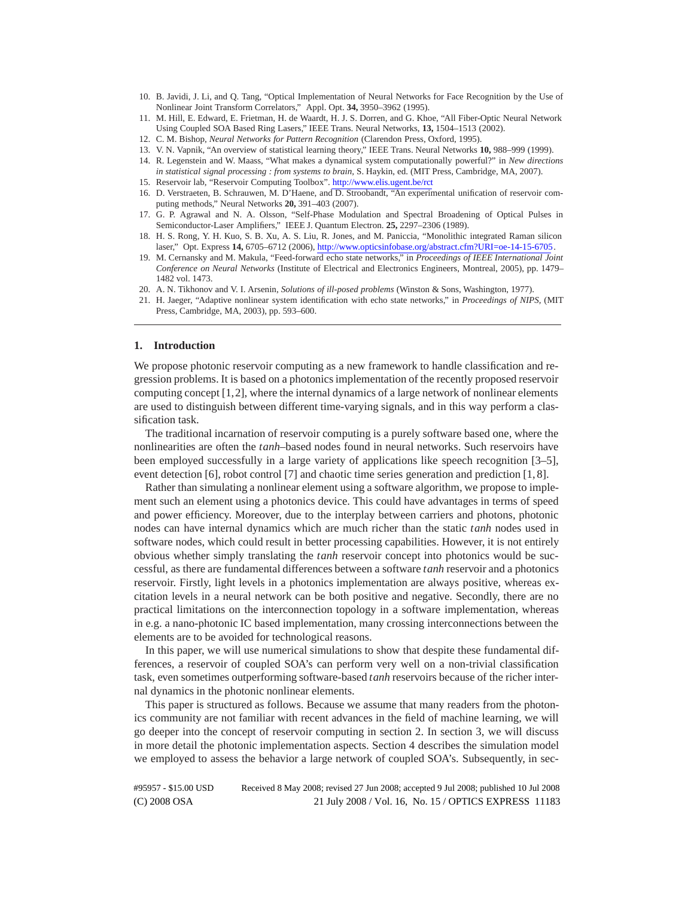- 10. B. Javidi, J. Li, and Q. Tang, "Optical Implementation of Neural Networks for Face Recognition by the Use of Nonlinear Joint Transform Correlators," Appl. Opt. **34,** 3950–3962 (1995).
- 11. M. Hill, E. Edward, E. Frietman, H. de Waardt, H. J. S. Dorren, and G. Khoe, "All Fiber-Optic Neural Network Using Coupled SOA Based Ring Lasers," IEEE Trans. Neural Networks, **13,** 1504–1513 (2002).
- 12. C. M. Bishop, *Neural Networks for Pattern Recognition* (Clarendon Press, Oxford, 1995).
- 13. V. N. Vapnik, "An overview of statistical learning theory," IEEE Trans. Neural Networks **10,** 988–999 (1999).
- 14. R. Legenstein and W. Maass, "What makes a dynamical system computationally powerful?" in *New directions*
- *in statistical signal processing : from systems to brain,* S. Haykin, ed. (MIT Press, Cambridge, MA, 2007). 15. Reservoir lab, "Reservoir Computing Toolbox". http://www.elis.ugent.be/rct
- 16. D. Verstraeten, B. Schrauwen, M. D'Haene, and D. Stroobandt, "An experimental unification of reservoir computing methods," Neural Networks **20,** 391–403 (2007).
- 17. G. P. Agrawal and N. A. Olsson, "Self-Phase Modulation and Spectral Broadening of Optical Pulses in Semiconductor-Laser Amplifiers," IEEE J. Quantum Electron. **25,** 2297–2306 (1989).
- 18. H. S. Rong, Y. H. Kuo, S. B. Xu, A. S. Liu, R. Jones, and M. Paniccia, "Monolithic integrated Raman silicon laser," Opt. Express **14,** 6705–6712 (2006), http://www.opticsinfobase.org/abstract.cfm?URI=oe-14-15-6705.
- 19. M. Cernansky and M. Makula, "Feed-forward echo state networks," in *Proceedings of IEEE International Joint Conference on Neural Networks* (Institute of Electrical and Electronics Engineers, Montreal, 2005), pp. 1479– 1482 vol. 1473.
- 20. A. N. Tikhonov and V. I. Arsenin, *Solutions of ill-posed problems* (Winston & Sons, Washington, 1977).
- 21. H. Jaeger, "Adaptive nonlinear system identification with echo state networks," in *Proceedings of NIPS,* (MIT Press, Cambridge, MA, 2003), pp. 593–600.

#### **1. Introduction**

We propose photonic reservoir computing as a new framework to handle classification and regression problems. It is based on a photonics implementation of the recently proposed reservoir computing concept [1,2], where the internal dynamics of a large network of nonlinear elements are used to distinguish between different time-varying signals, and in this way perform a classification task.

The traditional incarnation of reservoir computing is a purely software based one, where the nonlinearities are often the *tanh*–based nodes found in neural networks. Such reservoirs have been employed successfully in a large variety of applications like speech recognition [3–5], event detection [6], robot control [7] and chaotic time series generation and prediction [1, 8].

Rather than simulating a nonlinear element using a software algorithm, we propose to implement such an element using a photonics device. This could have advantages in terms of speed and power efficiency. Moreover, due to the interplay between carriers and photons, photonic nodes can have internal dynamics which are much richer than the static *tanh* nodes used in software nodes, which could result in better processing capabilities. However, it is not entirely obvious whether simply translating the *tanh* reservoir concept into photonics would be successful, as there are fundamental differences between a software *tanh* reservoir and a photonics reservoir. Firstly, light levels in a photonics implementation are always positive, whereas excitation levels in a neural network can be both positive and negative. Secondly, there are no practical limitations on the interconnection topology in a software implementation, whereas in e.g. a nano-photonic IC based implementation, many crossing interconnections between the elements are to be avoided for technological reasons.

In this paper, we will use numerical simulations to show that despite these fundamental differences, a reservoir of coupled SOA's can perform very well on a non-trivial classification task, even sometimes outperforming software-based *tanh* reservoirs because of the richer internal dynamics in the photonic nonlinear elements.

This paper is structured as follows. Because we assume that many readers from the photonics community are not familiar with recent advances in the field of machine learning, we will go deeper into the concept of reservoir computing in section 2. In section 3, we will discuss in more detail the photonic implementation aspects. Section 4 describes the simulation model we employed to assess the behavior a large network of coupled SOA's. Subsequently, in sec-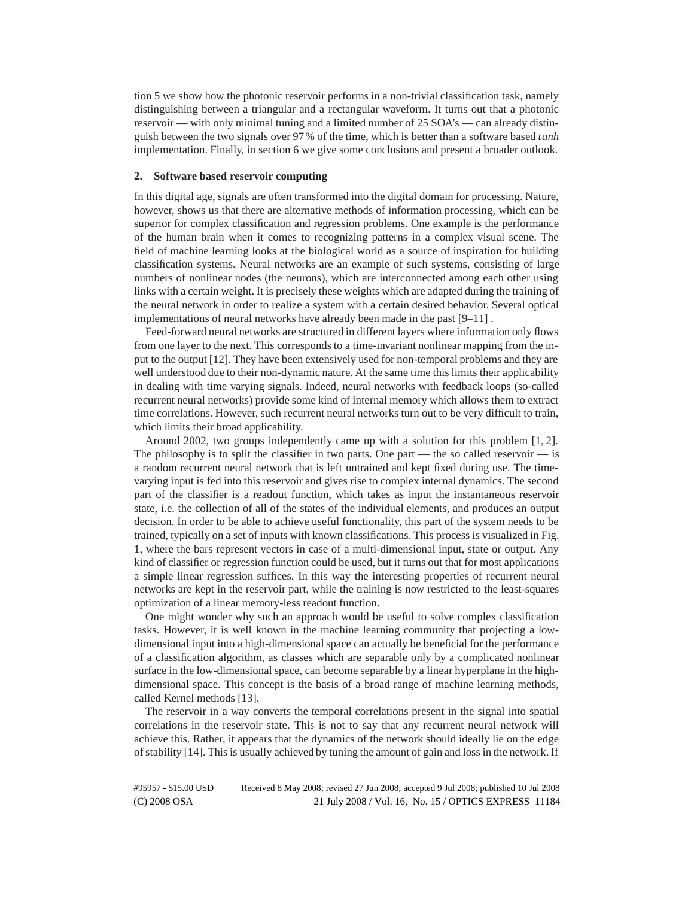tion 5 we show how the photonic reservoir performs in a non-trivial classification task, namely distinguishing between a triangular and a rectangular waveform. It turns out that a photonic reservoir — with only minimal tuning and a limited number of 25 SOA's — can already distinguish between the two signals over 97% of the time, which is better than a software based *tanh* implementation. Finally, in section 6 we give some conclusions and present a broader outlook.

## **2. Software based reservoir computing**

In this digital age, signals are often transformed into the digital domain for processing. Nature, however, shows us that there are alternative methods of information processing, which can be superior for complex classification and regression problems. One example is the performance of the human brain when it comes to recognizing patterns in a complex visual scene. The field of machine learning looks at the biological world as a source of inspiration for building classification systems. Neural networks are an example of such systems, consisting of large numbers of nonlinear nodes (the neurons), which are interconnected among each other using links with a certain weight. It is precisely these weights which are adapted during the training of the neural network in order to realize a system with a certain desired behavior. Several optical implementations of neural networks have already been made in the past [9–11] .

Feed-forward neural networks are structured in different layers where information only flows from one layer to the next. This corresponds to a time-invariant nonlinear mapping from the input to the output [12]. They have been extensively used for non-temporal problems and they are well understood due to their non-dynamic nature. At the same time this limits their applicability in dealing with time varying signals. Indeed, neural networks with feedback loops (so-called recurrent neural networks) provide some kind of internal memory which allows them to extract time correlations. However, such recurrent neural networks turn out to be very difficult to train, which limits their broad applicability.

Around 2002, two groups independently came up with a solution for this problem [1, 2]. The philosophy is to split the classifier in two parts. One part — the so called reservoir — is a random recurrent neural network that is left untrained and kept fixed during use. The timevarying input is fed into this reservoir and gives rise to complex internal dynamics. The second part of the classifier is a readout function, which takes as input the instantaneous reservoir state, i.e. the collection of all of the states of the individual elements, and produces an output decision. In order to be able to achieve useful functionality, this part of the system needs to be trained, typically on a set of inputs with known classifications. This process is visualized in Fig. 1, where the bars represent vectors in case of a multi-dimensional input, state or output. Any kind of classifier or regression function could be used, but it turns out that for most applications a simple linear regression suffices. In this way the interesting properties of recurrent neural networks are kept in the reservoir part, while the training is now restricted to the least-squares optimization of a linear memory-less readout function.

One might wonder why such an approach would be useful to solve complex classification tasks. However, it is well known in the machine learning community that projecting a lowdimensional input into a high-dimensional space can actually be beneficial for the performance of a classification algorithm, as classes which are separable only by a complicated nonlinear surface in the low-dimensional space, can become separable by a linear hyperplane in the highdimensional space. This concept is the basis of a broad range of machine learning methods, called Kernel methods [13].

The reservoir in a way converts the temporal correlations present in the signal into spatial correlations in the reservoir state. This is not to say that any recurrent neural network will achieve this. Rather, it appears that the dynamics of the network should ideally lie on the edge of stability [14]. This is usually achieved by tuning the amount of gain and loss in the network. If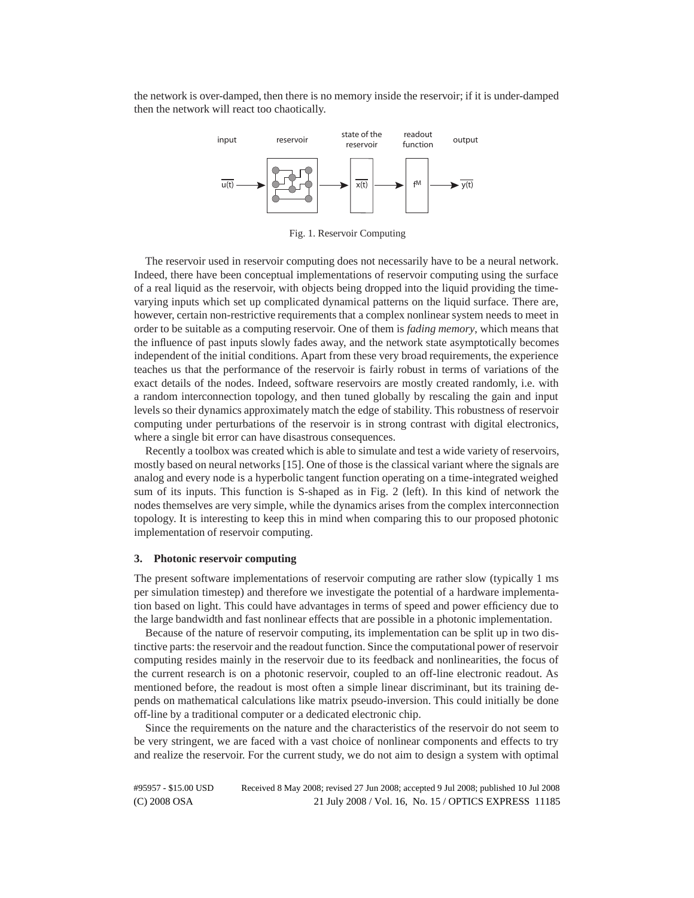the network is over-damped, then there is no memory inside the reservoir; if it is under-damped then the network will react too chaotically.



Fig. 1. Reservoir Computing

The reservoir used in reservoir computing does not necessarily have to be a neural network. Indeed, there have been conceptual implementations of reservoir computing using the surface of a real liquid as the reservoir, with objects being dropped into the liquid providing the timevarying inputs which set up complicated dynamical patterns on the liquid surface. There are, however, certain non-restrictive requirements that a complex nonlinear system needs to meet in order to be suitable as a computing reservoir. One of them is *fading memory*, which means that the influence of past inputs slowly fades away, and the network state asymptotically becomes independent of the initial conditions. Apart from these very broad requirements, the experience teaches us that the performance of the reservoir is fairly robust in terms of variations of the exact details of the nodes. Indeed, software reservoirs are mostly created randomly, i.e. with a random interconnection topology, and then tuned globally by rescaling the gain and input levels so their dynamics approximately match the edge of stability. This robustness of reservoir computing under perturbations of the reservoir is in strong contrast with digital electronics, where a single bit error can have disastrous consequences.

Recently a toolbox was created which is able to simulate and test a wide variety of reservoirs, mostly based on neural networks [15]. One of those is the classical variant where the signals are analog and every node is a hyperbolic tangent function operating on a time-integrated weighed sum of its inputs. This function is S-shaped as in Fig. 2 (left). In this kind of network the nodes themselves are very simple, while the dynamics arises from the complex interconnection topology. It is interesting to keep this in mind when comparing this to our proposed photonic implementation of reservoir computing.

#### **3. Photonic reservoir computing**

The present software implementations of reservoir computing are rather slow (typically 1 ms per simulation timestep) and therefore we investigate the potential of a hardware implementation based on light. This could have advantages in terms of speed and power efficiency due to the large bandwidth and fast nonlinear effects that are possible in a photonic implementation.

Because of the nature of reservoir computing, its implementation can be split up in two distinctive parts: the reservoir and the readout function. Since the computational power of reservoir computing resides mainly in the reservoir due to its feedback and nonlinearities, the focus of the current research is on a photonic reservoir, coupled to an off-line electronic readout. As mentioned before, the readout is most often a simple linear discriminant, but its training depends on mathematical calculations like matrix pseudo-inversion. This could initially be done off-line by a traditional computer or a dedicated electronic chip.

Since the requirements on the nature and the characteristics of the reservoir do not seem to be very stringent, we are faced with a vast choice of nonlinear components and effects to try and realize the reservoir. For the current study, we do not aim to design a system with optimal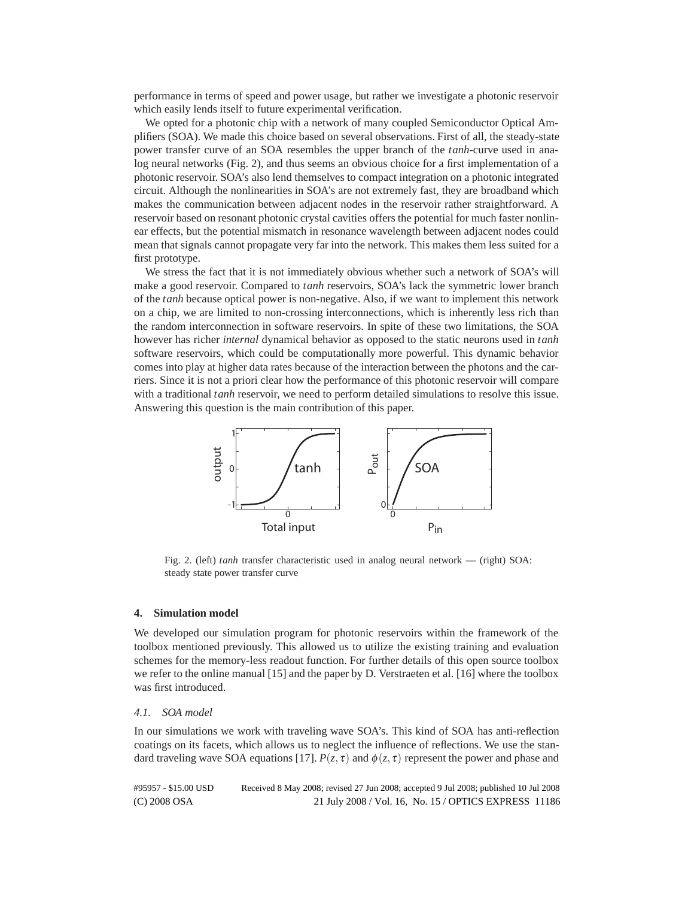performance in terms of speed and power usage, but rather we investigate a photonic reservoir which easily lends itself to future experimental verification.

We opted for a photonic chip with a network of many coupled Semiconductor Optical Amplifiers (SOA). We made this choice based on several observations. First of all, the steady-state power transfer curve of an SOA resembles the upper branch of the *tanh*-curve used in analog neural networks (Fig. 2), and thus seems an obvious choice for a first implementation of a photonic reservoir. SOA's also lend themselves to compact integration on a photonic integrated circuit. Although the nonlinearities in SOA's are not extremely fast, they are broadband which makes the communication between adjacent nodes in the reservoir rather straightforward. A reservoir based on resonant photonic crystal cavities offers the potential for much faster nonlinear effects, but the potential mismatch in resonance wavelength between adjacent nodes could mean that signals cannot propagate very far into the network. This makes them less suited for a first prototype.

We stress the fact that it is not immediately obvious whether such a network of SOA's will make a good reservoir. Compared to *tanh* reservoirs, SOA's lack the symmetric lower branch of the *tanh* because optical power is non-negative. Also, if we want to implement this network on a chip, we are limited to non-crossing interconnections, which is inherently less rich than the random interconnection in software reservoirs. In spite of these two limitations, the SOA however has richer *internal* dynamical behavior as opposed to the static neurons used in *tanh* software reservoirs, which could be computationally more powerful. This dynamic behavior comes into play at higher data rates because of the interaction between the photons and the carriers. Since it is not a priori clear how the performance of this photonic reservoir will compare with a traditional *tanh* reservoir, we need to perform detailed simulations to resolve this issue. Answering this question is the main contribution of this paper.



Fig. 2. (left) *tanh* transfer characteristic used in analog neural network — (right) SOA: steady state power transfer curve

## **4. Simulation model**

We developed our simulation program for photonic reservoirs within the framework of the toolbox mentioned previously. This allowed us to utilize the existing training and evaluation schemes for the memory-less readout function. For further details of this open source toolbox we refer to the online manual [15] and the paper by D. Verstraeten et al. [16] where the toolbox was first introduced.

### *4.1. SOA model*

In our simulations we work with traveling wave SOA's. This kind of SOA has anti-reflection coatings on its facets, which allows us to neglect the influence of reflections. We use the standard traveling wave SOA equations [17].  $P(z, \tau)$  and  $\phi(z, \tau)$  represent the power and phase and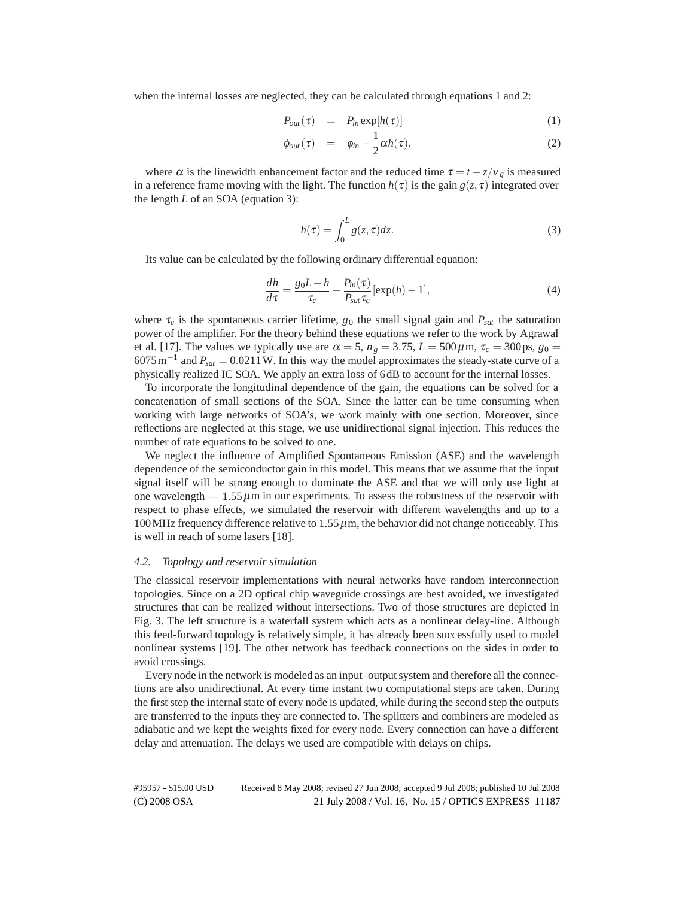when the internal losses are neglected, they can be calculated through equations 1 and 2:

$$
P_{out}(\tau) = P_{in} \exp[h(\tau)] \qquad (1)
$$

$$
\phi_{out}(\tau) = \phi_{in} - \frac{1}{2}\alpha h(\tau), \qquad (2)
$$

where  $\alpha$  is the linewidth enhancement factor and the reduced time  $\tau = t - z/v_g$  is measured in a reference frame moving with the light. The function  $h(\tau)$  is the gain  $g(z, \tau)$  integrated over the length *L* of an SOA (equation 3):

$$
h(\tau) = \int_0^L g(z, \tau) dz.
$$
 (3)

Its value can be calculated by the following ordinary differential equation:

$$
\frac{dh}{d\tau} = \frac{g_0 L - h}{\tau_c} - \frac{P_{in}(\tau)}{P_{sat}\tau_c} [\exp(h) - 1],\tag{4}
$$

where  $\tau_c$  is the spontaneous carrier lifetime,  $g_0$  the small signal gain and  $P_{sat}$  the saturation power of the amplifier. For the theory behind these equations we refer to the work by Agrawal et al. [17]. The values we typically use are  $\alpha = 5$ ,  $n_g = 3.75$ ,  $L = 500 \,\mu$ m,  $\tau_c = 300 \,\text{ps}$ ,  $g_0 =$  $6075 \,\mathrm{m}^{-1}$  and  $P_{\text{sat}} = 0.0211 \,\mathrm{W}$ . In this way the model approximates the steady-state curve of a physically realized IC SOA. We apply an extra loss of 6 dB to account for the internal losses.

To incorporate the longitudinal dependence of the gain, the equations can be solved for a concatenation of small sections of the SOA. Since the latter can be time consuming when working with large networks of SOA's, we work mainly with one section. Moreover, since reflections are neglected at this stage, we use unidirectional signal injection. This reduces the number of rate equations to be solved to one.

We neglect the influence of Amplified Spontaneous Emission (ASE) and the wavelength dependence of the semiconductor gain in this model. This means that we assume that the input signal itself will be strong enough to dominate the ASE and that we will only use light at one wavelength  $-1.55 \mu m$  in our experiments. To assess the robustness of the reservoir with respect to phase effects, we simulated the reservoir with different wavelengths and up to a 100 MHz frequency difference relative to  $1.55 \mu$ m, the behavior did not change noticeably. This is well in reach of some lasers [18].

#### *4.2. Topology and reservoir simulation*

The classical reservoir implementations with neural networks have random interconnection topologies. Since on a 2D optical chip waveguide crossings are best avoided, we investigated structures that can be realized without intersections. Two of those structures are depicted in Fig. 3. The left structure is a waterfall system which acts as a nonlinear delay-line. Although this feed-forward topology is relatively simple, it has already been successfully used to model nonlinear systems [19]. The other network has feedback connections on the sides in order to avoid crossings.

Every node in the network is modeled as an input–output system and therefore all the connections are also unidirectional. At every time instant two computational steps are taken. During the first step the internal state of every node is updated, while during the second step the outputs are transferred to the inputs they are connected to. The splitters and combiners are modeled as adiabatic and we kept the weights fixed for every node. Every connection can have a different delay and attenuation. The delays we used are compatible with delays on chips.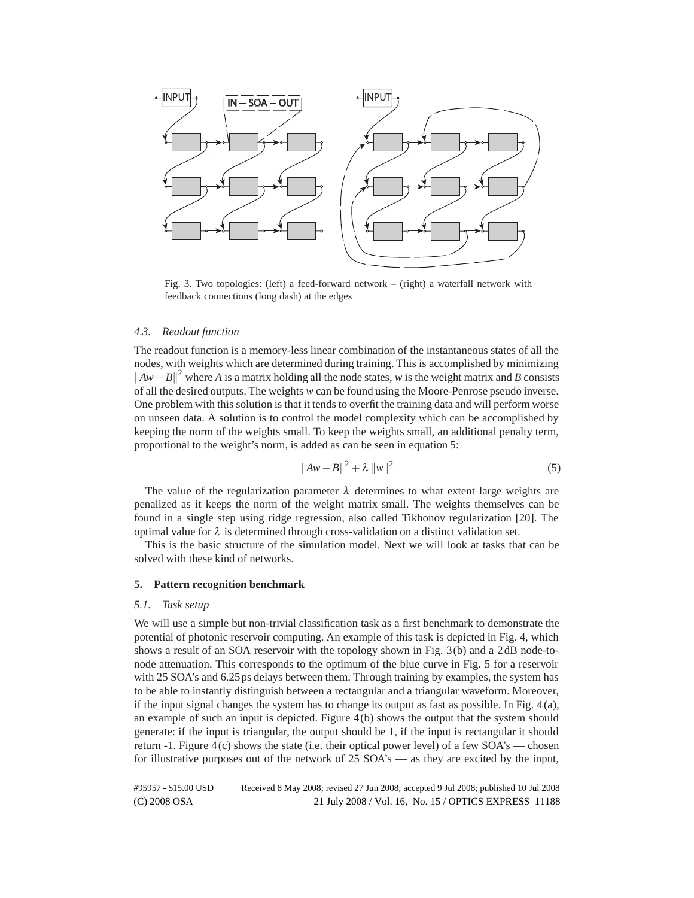

Fig. 3. Two topologies: (left) a feed-forward network – (right) a waterfall network with feedback connections (long dash) at the edges

## *4.3. Readout function*

The readout function is a memory-less linear combination of the instantaneous states of all the nodes, with weights which are determined during training. This is accomplished by minimizing  $\|Aw - B\|^2$  where *A* is a matrix holding all the node states, *w* is the weight matrix and *B* consists of all the desired outputs. The weights *w* can be found using the Moore-Penrose pseudo inverse. One problem with this solution is that it tends to overfit the training data and will perform worse on unseen data. A solution is to control the model complexity which can be accomplished by keeping the norm of the weights small. To keep the weights small, an additional penalty term, proportional to the weight's norm, is added as can be seen in equation 5:

$$
||Aw - B||^2 + \lambda ||w||^2
$$
 (5)

The value of the regularization parameter  $\lambda$  determines to what extent large weights are penalized as it keeps the norm of the weight matrix small. The weights themselves can be found in a single step using ridge regression, also called Tikhonov regularization [20]. The optimal value for  $\lambda$  is determined through cross-validation on a distinct validation set.

This is the basic structure of the simulation model. Next we will look at tasks that can be solved with these kind of networks.

## **5. Pattern recognition benchmark**

## *5.1. Task setup*

We will use a simple but non-trivial classification task as a first benchmark to demonstrate the potential of photonic reservoir computing. An example of this task is depicted in Fig. 4, which shows a result of an SOA reservoir with the topology shown in Fig. 3 (b) and a 2 dB node-tonode attenuation. This corresponds to the optimum of the blue curve in Fig. 5 for a reservoir with 25 SOA's and 6.25 ps delays between them. Through training by examples, the system has to be able to instantly distinguish between a rectangular and a triangular waveform. Moreover, if the input signal changes the system has to change its output as fast as possible. In Fig. 4 (a), an example of such an input is depicted. Figure 4 (b) shows the output that the system should generate: if the input is triangular, the output should be 1, if the input is rectangular it should return  $-1$ . Figure  $4(c)$  shows the state (i.e. their optical power level) of a few  $SOA's$  — chosen for illustrative purposes out of the network of 25 SOA's — as they are excited by the input,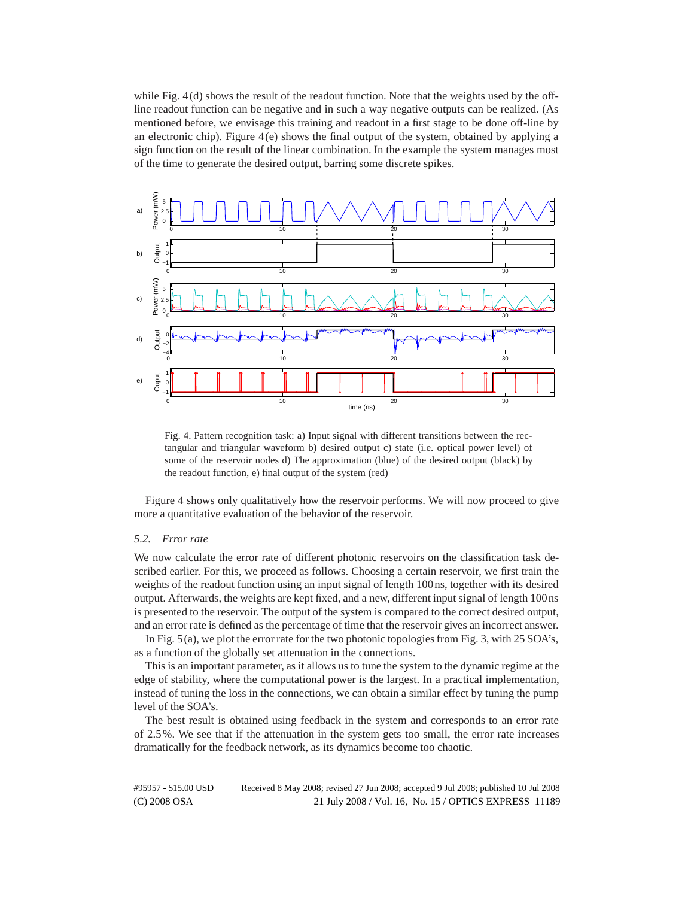while Fig. 4 (d) shows the result of the readout function. Note that the weights used by the offline readout function can be negative and in such a way negative outputs can be realized. (As mentioned before, we envisage this training and readout in a first stage to be done off-line by an electronic chip). Figure 4 (e) shows the final output of the system, obtained by applying a sign function on the result of the linear combination. In the example the system manages most of the time to generate the desired output, barring some discrete spikes.



Fig. 4. Pattern recognition task: a) Input signal with different transitions between the rectangular and triangular waveform b) desired output c) state (i.e. optical power level) of some of the reservoir nodes d) The approximation (blue) of the desired output (black) by the readout function, e) final output of the system (red)

Figure 4 shows only qualitatively how the reservoir performs. We will now proceed to give more a quantitative evaluation of the behavior of the reservoir.

#### *5.2. Error rate*

We now calculate the error rate of different photonic reservoirs on the classification task described earlier. For this, we proceed as follows. Choosing a certain reservoir, we first train the weights of the readout function using an input signal of length 100 ns, together with its desired output. Afterwards, the weights are kept fixed, and a new, different input signal of length 100 ns is presented to the reservoir. The output of the system is compared to the correct desired output, and an error rate is defined as the percentage of time that the reservoir gives an incorrect answer.

In Fig. 5 (a), we plot the error rate for the two photonic topologies from Fig. 3, with 25 SOA's, as a function of the globally set attenuation in the connections.

This is an important parameter, as it allows us to tune the system to the dynamic regime at the edge of stability, where the computational power is the largest. In a practical implementation, instead of tuning the loss in the connections, we can obtain a similar effect by tuning the pump level of the SOA's.

The best result is obtained using feedback in the system and corresponds to an error rate of 2.5%. We see that if the attenuation in the system gets too small, the error rate increases dramatically for the feedback network, as its dynamics become too chaotic.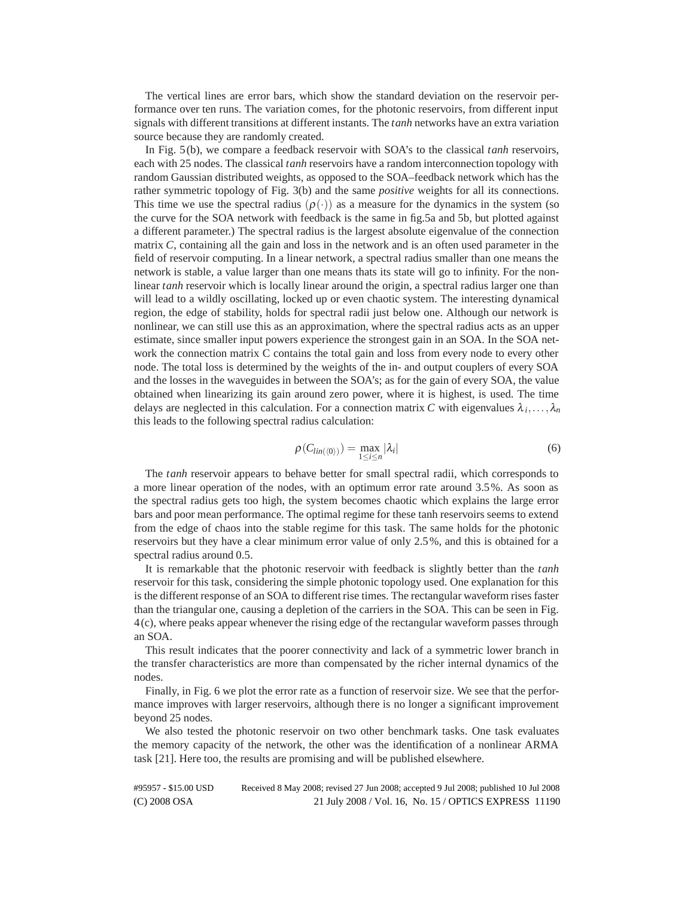The vertical lines are error bars, which show the standard deviation on the reservoir performance over ten runs. The variation comes, for the photonic reservoirs, from different input signals with different transitions at different instants. The *tanh* networks have an extra variation source because they are randomly created.

In Fig. 5 (b), we compare a feedback reservoir with SOA's to the classical *tanh* reservoirs, each with 25 nodes. The classical *tanh* reservoirs have a random interconnection topology with random Gaussian distributed weights, as opposed to the SOA–feedback network which has the rather symmetric topology of Fig. 3(b) and the same *positive* weights for all its connections. This time we use the spectral radius  $(\rho(\cdot))$  as a measure for the dynamics in the system (so the curve for the SOA network with feedback is the same in fig.5a and 5b, but plotted against a different parameter.) The spectral radius is the largest absolute eigenvalue of the connection matrix *C*, containing all the gain and loss in the network and is an often used parameter in the field of reservoir computing. In a linear network, a spectral radius smaller than one means the network is stable, a value larger than one means thats its state will go to infinity. For the nonlinear *tanh* reservoir which is locally linear around the origin, a spectral radius larger one than will lead to a wildly oscillating, locked up or even chaotic system. The interesting dynamical region, the edge of stability, holds for spectral radii just below one. Although our network is nonlinear, we can still use this as an approximation, where the spectral radius acts as an upper estimate, since smaller input powers experience the strongest gain in an SOA. In the SOA network the connection matrix C contains the total gain and loss from every node to every other node. The total loss is determined by the weights of the in- and output couplers of every SOA and the losses in the waveguides in between the SOA's; as for the gain of every SOA, the value obtained when linearizing its gain around zero power, where it is highest, is used. The time delays are neglected in this calculation. For a connection matrix *C* with eigenvalues  $\lambda_i, \ldots, \lambda_n$ this leads to the following spectral radius calculation:

$$
\rho(C_{lin(\langle 0 \rangle)}) = \max_{1 \le i \le n} |\lambda_i| \tag{6}
$$

The *tanh* reservoir appears to behave better for small spectral radii, which corresponds to a more linear operation of the nodes, with an optimum error rate around 3.5%. As soon as the spectral radius gets too high, the system becomes chaotic which explains the large error bars and poor mean performance. The optimal regime for these tanh reservoirs seems to extend from the edge of chaos into the stable regime for this task. The same holds for the photonic reservoirs but they have a clear minimum error value of only 2.5%, and this is obtained for a spectral radius around 0.5.

It is remarkable that the photonic reservoir with feedback is slightly better than the *tanh* reservoir for this task, considering the simple photonic topology used. One explanation for this is the different response of an SOA to different rise times. The rectangular waveform rises faster than the triangular one, causing a depletion of the carriers in the SOA. This can be seen in Fig. 4 (c), where peaks appear whenever the rising edge of the rectangular waveform passes through an SOA.

This result indicates that the poorer connectivity and lack of a symmetric lower branch in the transfer characteristics are more than compensated by the richer internal dynamics of the nodes.

Finally, in Fig. 6 we plot the error rate as a function of reservoir size. We see that the performance improves with larger reservoirs, although there is no longer a significant improvement beyond 25 nodes.

We also tested the photonic reservoir on two other benchmark tasks. One task evaluates the memory capacity of the network, the other was the identification of a nonlinear ARMA task [21]. Here too, the results are promising and will be published elsewhere.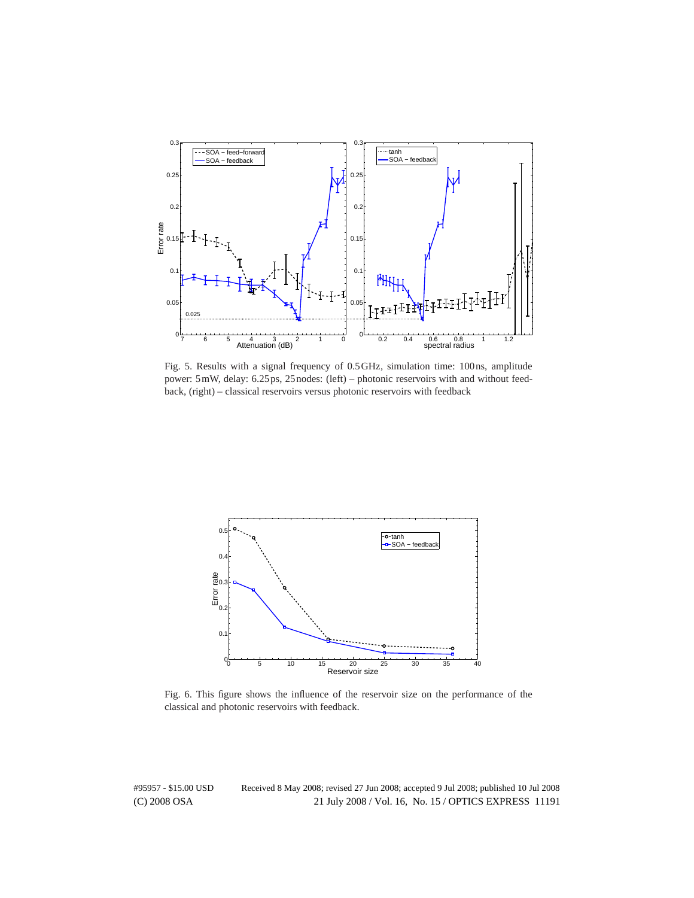

Fig. 5. Results with a signal frequency of 0.5GHz, simulation time: 100 ns, amplitude power: 5mW, delay: 6.25 ps, 25 nodes: (left) – photonic reservoirs with and without feedback, (right) – classical reservoirs versus photonic reservoirs with feedback



Fig. 6. This figure shows the influence of the reservoir size on the performance of the classical and photonic reservoirs with feedback.